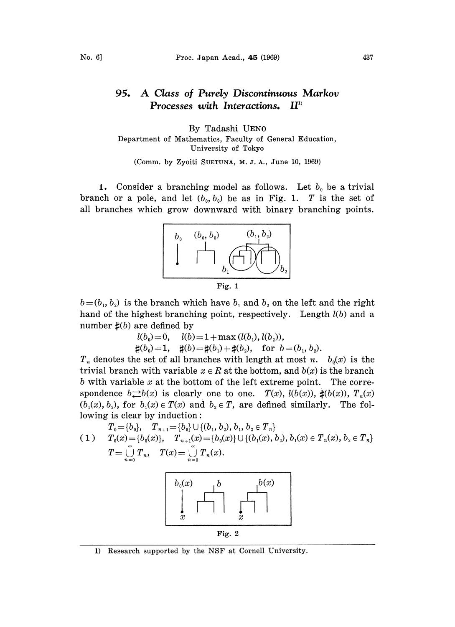## A Class of Purely Discontinuous Markov<br>Processes with Interactions. II<sup>D</sup> 95. Processes with Interactions.

## By Tadashi UEN0 Department of Mathematics, Faculty of General Education, University of Tokyo

(Comm. by Zyoiti SUETUNA, M. J. A., June 10, 1969)

1. Consider a branching model as follows. Let  $b_0$  be a trivial branch or a pole, and let  $(b_0, b_0)$  be as in Fig. 1. T is the set of all branches which grow downward with binary branching points.



 $b=(b_1, b_2)$  is the branch which have  $b_1$  and  $b_2$  on the left and the right hand of the highest branching point, respectively. Length  $l(b)$  and a number  $\sharp(b)$  are defined by

$$
l(b_0)=0, \quad l(b)=1+\max(l(b_1), l(b_2)),
$$

 $\sharp(b_0)=1$ ,  $\sharp(b)=\sharp(b_1)+\sharp(b_2)$ , for  $b=(b_1, b_2)$ .

 $T_n$  denotes the set of all branches with length at most n.  $b_0(x)$  is the trivial branch with variable  $x \in R$  at the bottom, and  $b(x)$  is the branch b with variable  $x$  at the bottom of the left extreme point. The correspondence  $b \rightleftarrows b(x)$  is clearly one to one.  $T(x)$ ,  $l(b(x))$ ,  $\sharp(b(x))$ ,  $T_n(x)$  $(b_1(x), b_2)$ , for  $b_1(x) \in T(x)$  and  $b_2 \in T$ , are defined similarly. The following is clear by induction:

$$
\begin{array}{ll} T_0{=}\{b_0\}, & T_{n+1}{=}\{b_0\}\cup\{(b_1,b_2),b_1,b_2\in T_n\} \\ (1) & T_0(x){=}\{b_0(x)\}, & T_{n+1}(x){=}\{b_0(x)\}\cup\{(b_1(x),b_2),b_1(x)\in T_n(x),b_2\in T_n\} \\ & T={\mathop \cup \limits_{n=0}^{\infty}} T_n, & T(x){=}\mathop \cup \limits_{n=0}^{\infty} T_n(x).\end{array}
$$



1) Research supported by the NSF at Cornell University.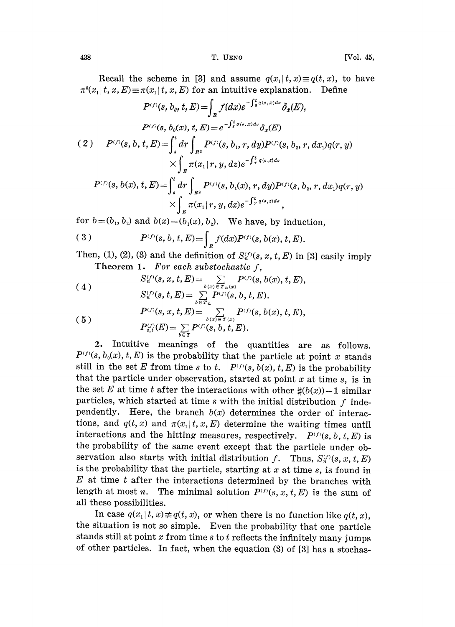Recall the scheme in [3] and assume  $q(x, | t, x) \equiv q(t, x)$ , to have  $\pi^0(x_1 | t, x, E) \equiv \pi(x_1 | t, x, E)$  for an intuitive explanation. Define

$$
P^{(f)}(s, b_0, t, E) = \int_{R} f(dx)e^{-\int_{s}^{t} q(s, x)ds} \delta_x(E),
$$
  
\n
$$
P^{(f)}(s, b_0(x), t, E) = e^{-\int_{s}^{t} q(s, x)ds} \delta_x(E)
$$
  
\n(2) 
$$
P^{(f)}(s, b, t, E) = \int_{s}^{t} dr \int_{R^2} P^{(f)}(s, b_1, r, dy) P^{(f)}(s, b_2, r, dx_1) q(r, y) \times \int_{R} \pi(x_1 | r, y, dz) e^{-\int_{r}^{t} q(s, z) ds}
$$
  
\n
$$
P^{(f)}(s, b(x), t, E) = \int_{s}^{t} dr \int_{R^2} P^{(f)}(s, b_1(x), r, dy) P^{(f)}(s, b_2, r, dx_1) q(r, y) \times \int_{R} \pi(x_1 | r, y, dz) e^{-\int_{r}^{t} q(s, z) ds},
$$

for  $b=(b_1, b_2)$  and  $b(x)=(b_1(x), b_2)$ . We have, by induction,

(3) 
$$
P^{(f)}(s, b, t, E) = \int_{R} f(dx) P^{(f)}(s, b(x), t, E).
$$

Then, (1), (2), (3) and the definition of  $S_n^{(f)}(s, x, t, E)$  in [3] easily imply Theorem 1. For each substochastic  $f$ ,

(4)  
\n
$$
S_n^{(f)}(s, x, t, E) = \sum_{b(x) \in T_n(x)} P^{(f)}(s, b(x), t, E),
$$
\n
$$
S_n^{(f)}(s, t, E) = \sum_{b \in T_n} P^{(f)}(s, b, t, E).
$$
\n
$$
P^{(f)}(s, x, t, E) = \sum_{b(x) \in T(x)} P^{(f)}(s, b(x), t, E),
$$
\n
$$
P_{s,t}^{(f)}(E) = \sum_{b \in T} P^{(f)}(s, b, t, E).
$$

2. Intuitive meanings of the quantities are as follows.  $P^{(f)}(s, b_0(x), t, E)$  is the probability that the particle at point x stands still in the set E from time s to t.  $P^{(f)}(s, b(x), t, E)$  is the probability that the particle under observation, started at point  $x$  at time  $s$ , is in the set E at time t after the interactions with other  $\sharp(b(x))-1$  similar particles, which started at time  $s$  with the initial distribution  $f$  independently. Here, the branch  $b(x)$  determines the order of interactions, and  $q(t, x)$  and  $\pi(x_1 | t, x, E)$  determine the waiting times until interactions and the hitting measures, respectively.  $P^{(f)}(s, b, t, E)$  is the probability of the same event except that the particle under observation also starts with initial distribution f. Thus,  $S_n^{(f)}(s, x, t, E)$ is the probability that the particle, starting at  $x$  at time  $s$ , is found in  $E$  at time  $t$  after the interactions determined by the branches with length at most n. The minimal solution  $P^{(f)}(s, x, t, E)$  is the sum of all these possibilities.

In case  $q(x_1|t, x) \neq q(t, x)$ , or when there is no function like  $q(t, x)$ , the situation is not so simple. Even the probability that one particle stands still at point  $x$  from time  $s$  to  $t$  reflects the infinitely many jumps of other particles. In fact, when the equation  $(3)$  of  $[3]$  has a stochas-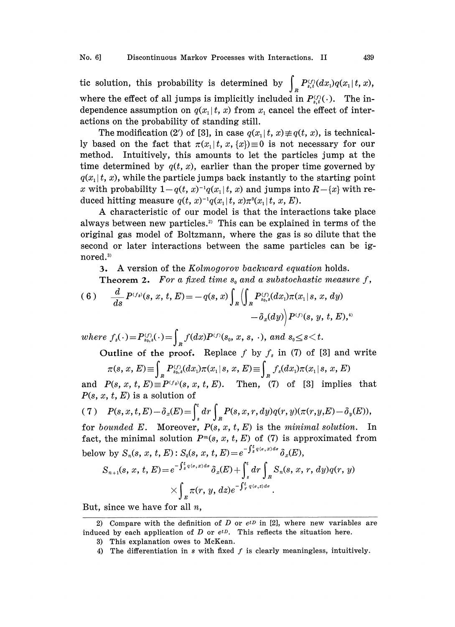tic solution, this probability is determined by  $\int_{R} P_{s,t}^{(f)}(dx_i)q(x_1|t, x)$ , where the effect of all jumps is implicitly included in  $P_{s,t}^{(j)}(\cdot)$ . The independence assumption on  $q(x_1|t, x)$  from x, cancel the effect of interactions on the probability of standing still.

The modification (2') of [3], in case  $q(x_1|t, x) \neq q(t, x)$ , is technically based on the fact that  $\pi(x, |t, x, \{x\}) \equiv 0$  is not necessary for our method. Intuitively, this amounts to let the particles jump at the time determined by  $q(t, x)$ , earlier than the proper time governed by  $q(x<sub>1</sub>|t, x)$ , while the particle jumps back instantly to the starting point x with probability  $1-q(t, x)^{-1}q(x_1, t, x)$  and jumps into  $R-\{x\}$  with reduced hitting measure  $q(t, x)^{-1}q(x_1|t, x)\pi^{0}(x_1|t, x, E)$ .

A characteristic of our model is that the interactions take place always between new particles.<sup>2)</sup> This can be explained in terms of the original gas model of Boltzmann, where the gas is so dilute that the second or later interactions between the same particles can be ignored.<sup>3)</sup>

3. A version of the Kolmogorov backward equation holds.

**Theorem 2.** For a fixed time  $s_0$  and a substochastic measure f,

(6) 
$$
\frac{d}{ds} P^{(f_s)}(s, x, t, E) = -q(s, x) \int_R \left( \int_R P_{s_0, s}^{(f)}(dx_1) \pi(x_1 | s, x, dy) - \delta_x(dy) \right) P^{(f)}(s, y, t, E),
$$

where  $f_s(\cdot)\!=\!P_{s_0,s}^{(f)}(\cdot)\!=\!\int_{\mathcal{R}}f(dx)P^{(f)}(s_{_0},x,s,\cdot),$  and  $s_{_0}\!\!\le\! s\!<\!t.$ 

Outline of the proof. Replace f by  $f_s$  in (7) of [3] and write  $\pi(s, x, E) \equiv \int_{R} P_{s_0,s}^{(f)}(dx_1)\pi(x_1|s, x, E) \equiv \int_{R} f_s(dx_1)\pi(x_1|s, x, E)$ 

and  $P(s, x, t, E) \equiv P^{(f_s)}(s, x, t, E)$ . Then, (7) of [3] implies that  $P(s, x, t, E)$  is a solution of

(7) 
$$
P(s, x, t, E) - \delta_x(E) = \int_s^t dr \int_R P(s, x, r, dy) q(r, y) (\pi(r, y, E) - \delta_y(E)),
$$
  
for bounded E. Moreover,  $P(s, x, t, E)$  is the minimal solution. In

fact, the minimal solution  $P<sup>m</sup>(s, x, t, E)$  of (7) is approximated from below by  $S_n(s, x, t, E)$ :  $S_0(s, x, t, E) = e^{-\int_s^t q(\sigma, x) d\sigma} \delta_n(E)$ ,

$$
S_{n+1}(s, x, t, E) = e^{-\int_s^t q(\sigma, x) d\sigma} \delta_x(E) + \int_s^t d\sigma \int_R S_n(s, x, r, dy) q(r, y) \times \int_E \pi(r, y, dz) e^{-\int_r^t q(\sigma, z) d\sigma}.
$$

But, since we have for all  $n$ ,

<sup>2)</sup> Compare with the definition of D or  $e^{tD}$  in [2], where new variables are induced by each application of D or  $e^{tD}$ . This reflects the situation here.

<sup>3)</sup> This explanation owes to McKean.

<sup>4)</sup> The differentiation in  $s$  with fixed  $f$  is clearly meaningless, intuitively.